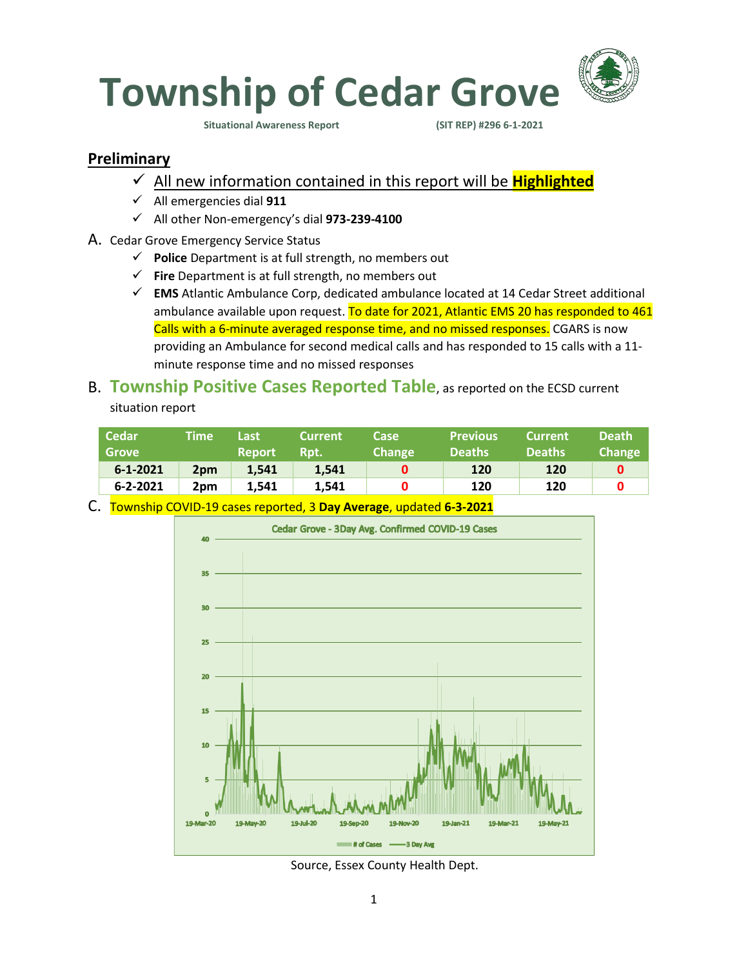

**Situational Awareness Report (SIT REP) #296 6-1-2021** 

### **Preliminary**

- ✓ All new information contained in this report will be **Highlighted**
- ✓ All emergencies dial **911**
- ✓ All other Non-emergency's dial **973-239-4100**
- A. Cedar Grove Emergency Service Status
	- ✓ **Police** Department is at full strength, no members out
	- ✓ **Fire** Department is at full strength, no members out
	- ✓ **EMS** Atlantic Ambulance Corp, dedicated ambulance located at 14 Cedar Street additional ambulance available upon request. To date for 2021, Atlantic EMS 20 has responded to 461 Calls with a 6-minute averaged response time, and no missed responses. CGARS is now providing an Ambulance for second medical calls and has responded to 15 calls with a 11 minute response time and no missed responses

# B. **Township Positive Cases Reported Table**, as reported on the ECSD current

situation report

|                                                       | <b>Deaths</b> | <b>Deaths</b> | <b>Change</b> | Rpt.  | <b>Report</b> |                 | <b>Grove</b>   |
|-------------------------------------------------------|---------------|---------------|---------------|-------|---------------|-----------------|----------------|
|                                                       | 120           | 120           |               | 1.541 | 1.541         | 2 <sub>pm</sub> | $6 - 1 - 2021$ |
| 120<br>120<br>$6 - 2 - 2021$<br>1.541<br>1.541<br>2pm |               |               |               |       |               |                 |                |

C. Township COVID-19 cases reported, 3 **Day Average**, updated **6-3-2021**



Source, Essex County Health Dept.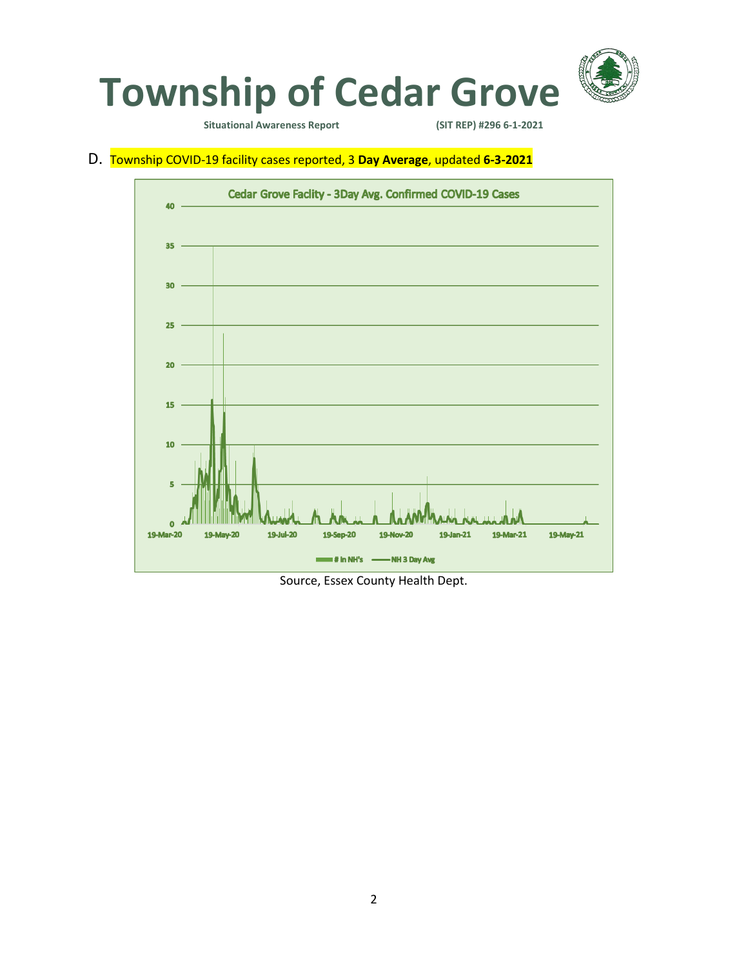

**Situational Awareness Report** 

D. Township COVID-19 facility cases reported, 3 **Day Average**, updated **6-3-2021**



Source, Essex County Health Dept.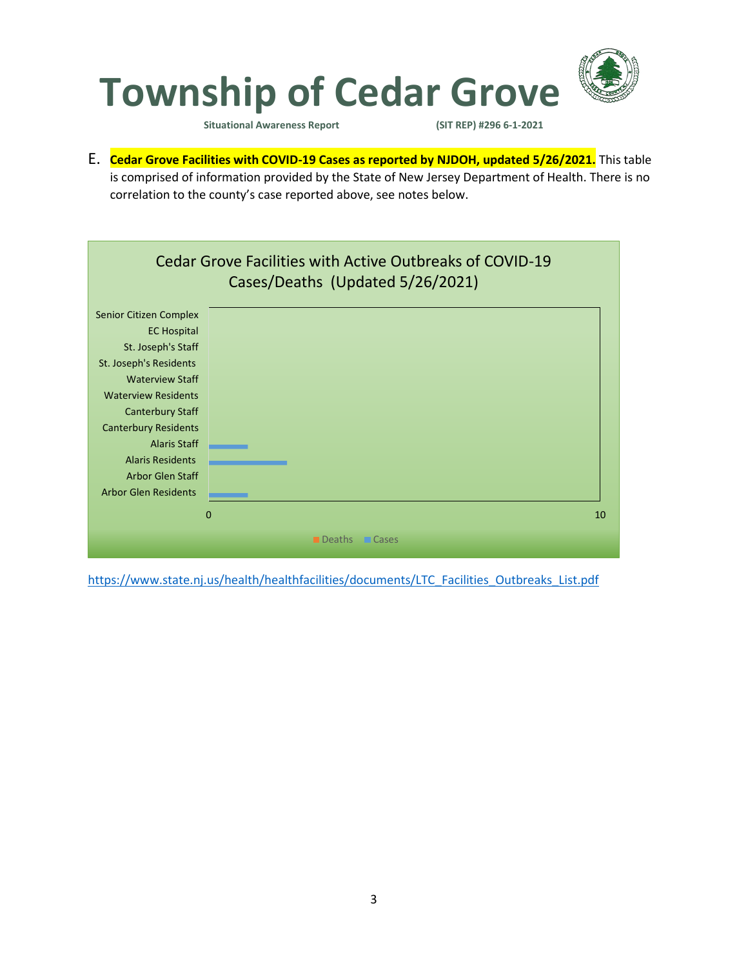

**Situational Awareness Report (SIT REP) #296 6-1-2021** 

E. **Cedar Grove Facilities with COVID-19 Cases as reported by NJDOH, updated 5/26/2021.** This table is comprised of information provided by the State of New Jersey Department of Health. There is no correlation to the county's case reported above, see notes below.



[https://www.state.nj.us/health/healthfacilities/documents/LTC\\_Facilities\\_Outbreaks\\_List.pdf](https://www.state.nj.us/health/healthfacilities/documents/LTC_Facilities_Outbreaks_List.pdf)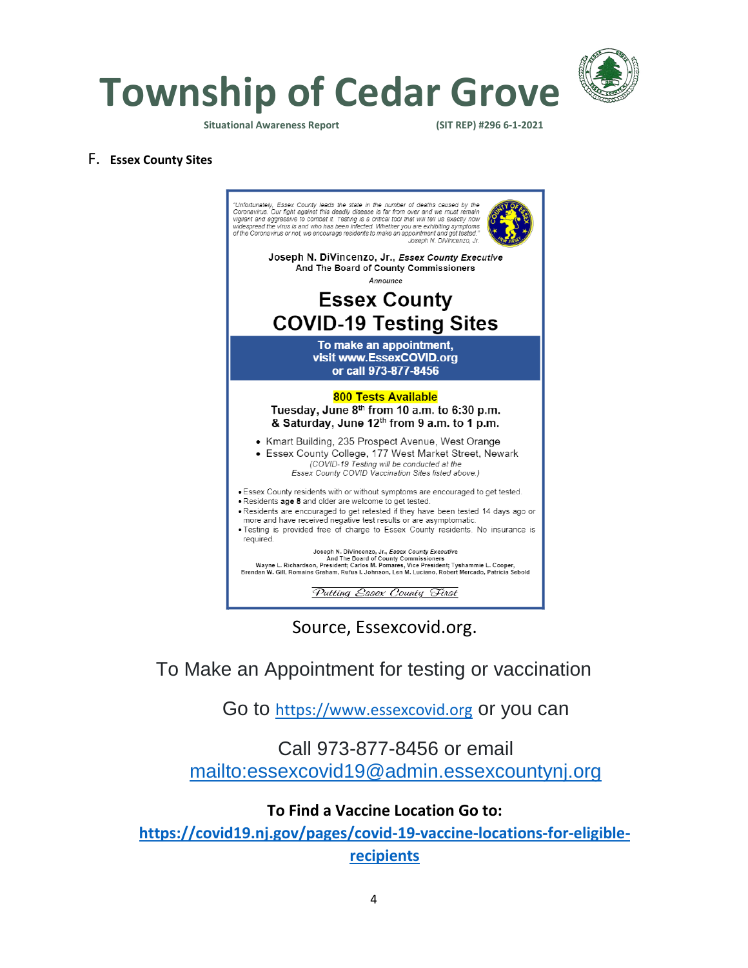

**Township of Cedar Grove**

**Situational Awareness Report (SIT REP) #296 6-1-2021** 

#### F. **Essex County Sites**



Source, Essexcovid.org.

To Make an Appointment for testing or vaccination

Go to [https://www.essexcovid.org](https://www.essexcovid.org/) or you can

### Call 973-877-8456 or email <mailto:essexcovid19@admin.essexcountynj.org>

### **To Find a Vaccine Location Go to:**

**[https://covid19.nj.gov/pages/covid-19-vaccine-locations-for-eligible](https://covid19.nj.gov/pages/covid-19-vaccine-locations-for-eligible-recipients)[recipients](https://covid19.nj.gov/pages/covid-19-vaccine-locations-for-eligible-recipients)**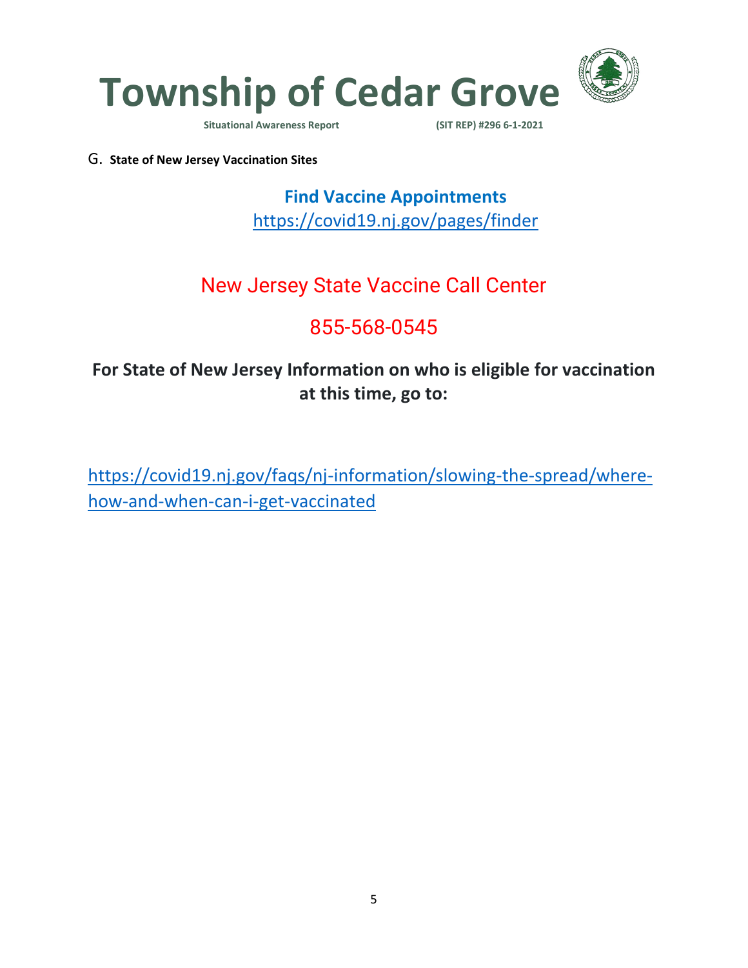

**Situational Awareness Report** 

G. **State of New Jersey Vaccination Sites**

**Find Vaccine Appointments**  <https://covid19.nj.gov/pages/finder>

## New Jersey State Vaccine Call Center

# 855-568-0545

### **For State of New Jersey Information on who is eligible for vaccination at this time, go to:**

[https://covid19.nj.gov/faqs/nj-information/slowing-the-spread/where](https://covid19.nj.gov/faqs/nj-information/slowing-the-spread/where-how-and-when-can-i-get-vaccinated)[how-and-when-can-i-get-vaccinated](https://covid19.nj.gov/faqs/nj-information/slowing-the-spread/where-how-and-when-can-i-get-vaccinated)